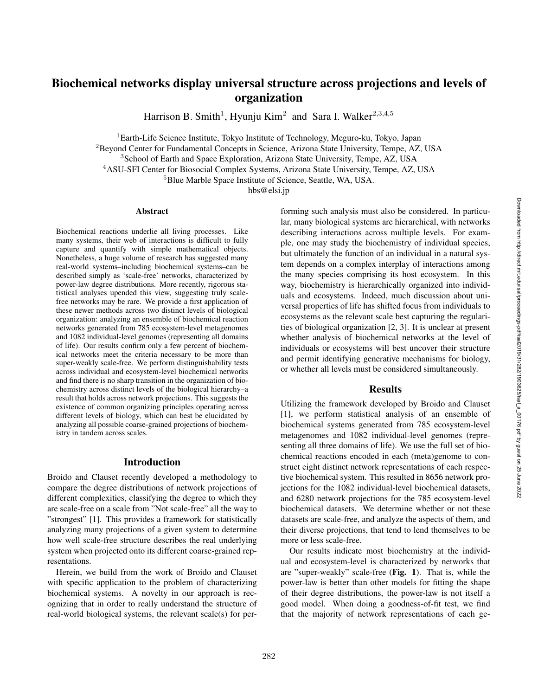# Biochemical networks display universal structure across projections and levels of organization

Harrison B. Smith<sup>1</sup>, Hyunju Kim<sup>2</sup> and Sara I. Walker<sup>2,3,4,5</sup>

<sup>1</sup>Earth-Life Science Institute, Tokyo Institute of Technology, Meguro-ku, Tokyo, Japan

<sup>2</sup>Beyond Center for Fundamental Concepts in Science, Arizona State University, Tempe, AZ, USA

<sup>3</sup>School of Earth and Space Exploration, Arizona State University, Tempe, AZ, USA

<sup>4</sup>ASU-SFI Center for Biosocial Complex Systems, Arizona State University, Tempe, AZ, USA

<sup>5</sup>Blue Marble Space Institute of Science, Seattle, WA, USA.

hbs@elsi.jp

#### Abstract

Biochemical reactions underlie all living processes. Like many systems, their web of interactions is difficult to fully capture and quantify with simple mathematical objects. Nonetheless, a huge volume of research has suggested many real-world systems–including biochemical systems–can be described simply as 'scale-free' networks, characterized by power-law degree distributions. More recently, rigorous statistical analyses upended this view, suggesting truly scalefree networks may be rare. We provide a first application of these newer methods across two distinct levels of biological organization: analyzing an ensemble of biochemical reaction networks generated from 785 ecosystem-level metagenomes and 1082 individual-level genomes (representing all domains of life). Our results confirm only a few percent of biochemical networks meet the criteria necessary to be more than super-weakly scale-free. We perform distinguishability tests across individual and ecosystem-level biochemical networks and find there is no sharp transition in the organization of biochemistry across distinct levels of the biological hierarchy–a result that holds across network projections. This suggests the existence of common organizing principles operating across different levels of biology, which can best be elucidated by analyzing all possible coarse-grained projections of biochemistry in tandem across scales.

### Introduction

Broido and Clauset recently developed a methodology to compare the degree distributions of network projections of different complexities, classifying the degree to which they are scale-free on a scale from "Not scale-free" all the way to "strongest" [1]. This provides a framework for statistically analyzing many projections of a given system to determine how well scale-free structure describes the real underlying system when projected onto its different coarse-grained representations.

Herein, we build from the work of Broido and Clauset with specific application to the problem of characterizing biochemical systems. A novelty in our approach is recognizing that in order to really understand the structure of real-world biological systems, the relevant scale(s) for per-

forming such analysis must also be considered. In particular, many biological systems are hierarchical, with networks describing interactions across multiple levels. For example, one may study the biochemistry of individual species, but ultimately the function of an individual in a natural system depends on a complex interplay of interactions among the many species comprising its host ecosystem. In this way, biochemistry is hierarchically organized into individuals and ecosystems. Indeed, much discussion about universal properties of life has shifted focus from individuals to ecosystems as the relevant scale best capturing the regularities of biological organization [2, 3]. It is unclear at present whether analysis of biochemical networks at the level of individuals or ecosystems will best uncover their structure and permit identifying generative mechanisms for biology, or whether all levels must be considered simultaneously.

## Results

Utilizing the framework developed by Broido and Clauset [1], we perform statistical analysis of an ensemble of biochemical systems generated from 785 ecosystem-level metagenomes and 1082 individual-level genomes (representing all three domains of life). We use the full set of biochemical reactions encoded in each (meta)genome to construct eight distinct network representations of each respective biochemical system. This resulted in 8656 network projections for the 1082 individual-level biochemical datasets, and 6280 network projections for the 785 ecosystem-level biochemical datasets. We determine whether or not these datasets are scale-free, and analyze the aspects of them, and their diverse projections, that tend to lend themselves to be more or less scale-free.

Our results indicate most biochemistry at the individual and ecosystem-level is characterized by networks that are "super-weakly" scale-free (Fig. 1). That is, while the power-law is better than other models for fitting the shape of their degree distributions, the power-law is not itself a good model. When doing a goodness-of-fit test, we find that the majority of network representations of each ge-